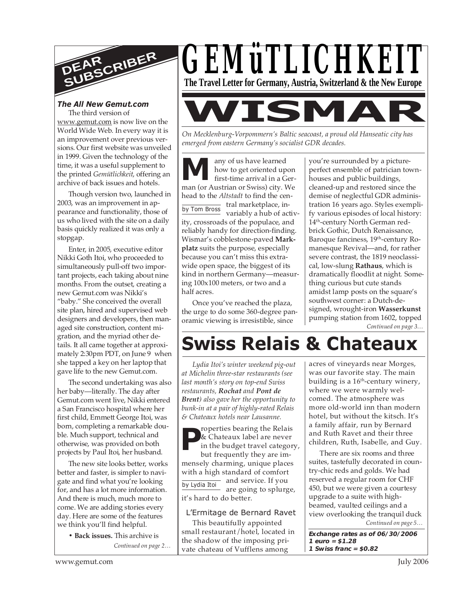

#### *The All New Gemut.com* The third version of

www.gemut.com is now live on the World Wide Web. In every way it is an improvement over previous versions. Our first website was unveiled in 1999. Given the technology of the time, it was a useful supplement to the printed *Gemütlichkeit*, offering an archive of back issues and hotels.

Though version two, launched in 2003, was an improvement in appearance and functionality, those of us who lived with the site on a daily basis quickly realized it was only a stopgap.

Enter, in 2005, executive editor Nikki Goth Itoi, who proceeded to simultaneously pull-off two important projects, each taking about nine months. From the outset, creating a new Gemut.com was Nikki's "baby." She conceived the overall site plan, hired and supervised web designers and developers, then managed site construction, content migration, and the myriad other details. It all came together at approximately 2:30pm PDT, on June 9 when she tapped a key on her laptop that gave life to the new Gemut.com.

The second undertaking was also her baby—literally. The day after Gemut.com went live, Nikki entered a San Francisco hospital where her first child, Emmett George Itoi, was born, completing a remarkable double. Much support, technical and otherwise, was provided on both projects by Paul Itoi, her husband.

The new site looks better, works better and faster, is simpler to navigate and find what you're looking for, and has a lot more information. And there is much, much more to come. We are adding stories every day. Here are some of the features we think you'll find helpful.

> **• Back issues.** This archive is *Continued on page 2…*



*On Mecklenburg-Vorpommern's Baltic seacoast, a proud old Hanseatic city has emerged from eastern Germany's socialist GDR decades.*

**WISMAR**

any of us have learned how to get oriented upon first-time arrival in a Ger-**M** any of us have learned<br>how to get oriented upon<br>first-time arrival in a Ger-<br>man (or Austrian or Swiss) city. We head to the *Altstadt* to find the cenby Tom Bross tral marketplace, invariably a hub of activity, crossroads of the populace, and reliably handy for direction-finding. Wismar's cobblestone-paved **Markplatz** suits the purpose, especially because you can't miss this extrawide open space, the biggest of its kind in northern Germany—measuring 100x100 meters, or two and a half acres.

Once you've reached the plaza, the urge to do some 360-degree panoramic viewing is irresistible, since

you're surrounded by a pictureperfect ensemble of patrician townhouses and public buildings, cleaned-up and restored since the demise of neglectful GDR administration 16 years ago. Styles exemplify various episodes of local history: 14<sup>th</sup>-century North German redbrick Gothic, Dutch Renaissance, Baroque fanciness, 19<sup>th</sup>-century Romanesque Revival—and, for rather severe contrast, the 1819 neoclassical, low-slung **Rathaus**, which is dramatically floodlit at night*.* Something curious but cute stands amidst lamp posts on the square's southwest corner: a Dutch-designed, wrought-iron **Wasserkunst** pumping station from 1602, topped *Continued on page 3…*

# **Swiss Relais & Chateaux**

*Lydia Itoi's winter weekend pig-out at Michelin three-star restaurants (see last month's story on top-end Swiss restaurants, Rochat and Pont de Brent) also gave her the opportunity to bunk-in at a pair of highly-rated Relais & Chateaux hotels near Lausanne.*

roperties bearing the Relais & Chateaux label are never in the budget travel category, but frequently they are immensely charming, unique places with a high standard of comfort and service. If you are going to splurge, **P** by Lydia Itoi

it's hard to do better.

## L'Ermitage de Bernard Ravet

This beautifully appointed small restaurant/hotel, located in the shadow of the imposing private chateau of Vufflens among

acres of vineyards near Morges, was our favorite stay. The main building is a  $16<sup>th</sup>$ -century winery, where we were warmly welcomed. The atmosphere was more old-world inn than modern hotel, but without the kitsch. It's a family affair, run by Bernard and Ruth Ravet and their three children, Ruth, Isabelle, and Guy.

There are six rooms and three suites, tastefully decorated in country-chic reds and golds. We had reserved a regular room for CHF 450, but we were given a courtesy upgrade to a suite with highbeamed, vaulted ceilings and a view overlooking the tranquil duck *Continued on page 5…*

**Exchange rates as of 06/30/2006 1 euro = \$1.28 1 Swiss franc = \$0.82**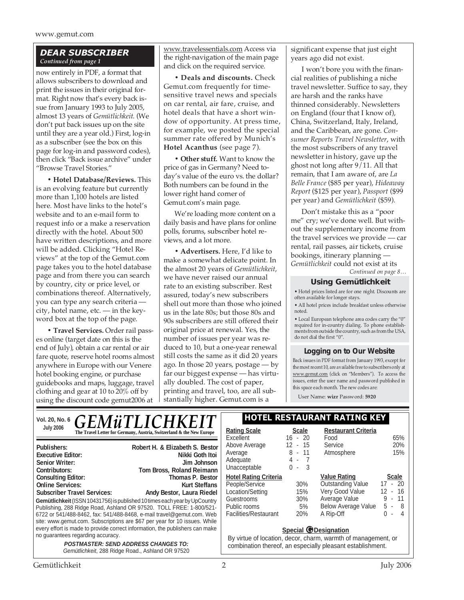## *DEAR SUBSCRIBER Continued from page 1*

now entirely in PDF, a format that allows subscribers to download and print the issues in their original format. Right now that's every back issue from January 1993 to July 2005, almost 13 years of *Gemütlichkeit*. (We don't put back issues up on the site until they are a year old.) First, log-in as a subscriber (see the box on this page for log-in and password codes), then click "Back issue archive" under "Browse Travel Stories."

**• Hotel Database/Reviews.** This is an evolving feature but currently more than 1,100 hotels are listed here. Most have links to the hotel's website and to an e-mail form to request info or a make a reservation directly with the hotel. About 500 have written descriptions, and more will be added. Clicking "Hotel Reviews" at the top of the Gemut.com page takes you to the hotel database page and from there you can search by country, city or price level, or combinations thereof. Alternatively, you can type any search criteria city, hotel name, etc. — in the keyword box at the top of the page.

**• Travel Services.** Order rail passes online (target date on this is the end of July), obtain a car rental or air fare quote, reserve hotel rooms almost anywhere in Europe with our Venere hotel booking engine, or purchase guidebooks and maps, luggage, travel clothing and gear at 10 to 20% off by using the discount code gemut2006 at

www.travelessentials.com Access via the right-navigation of the main page and click on the required service.

**• Deals and discounts.** Check Gemut.com frequently for timesensitive travel news and specials on car rental, air fare, cruise, and hotel deals that have a short window of opportunity. At press time, for example, we posted the special summer rate offered by Munich's **Hotel Acanthus** (see page 7).

**• Other stuff.** Want to know the price of gas in Germany? Need today's value of the euro vs. the dollar? Both numbers can be found in the lower right hand corner of Gemut.com's main page.

We're loading more content on a daily basis and have plans for online polls, forums, subscriber hotel reviews, and a lot more.

**• Advertisers.** Here, I'd like to make a somewhat delicate point. In the almost 20 years of *Gemütlichkeit*, we have never raised our annual rate to an existing subscriber. Rest assured, today's new subscribers shell out more than those who joined us in the late 80s; but those 80s and 90s subscribers are still offered their original price at renewal. Yes, the number of issues per year was reduced to 10, but a one-year renewal still costs the same as it did 20 years ago. In those 20 years, postage — by far our biggest expense — has virtually doubled. The cost of paper, printing and travel, too, are all substantially higher. Gemut.com is a

significant expense that just eight years ago did not exist.

I won't bore you with the financial realities of publishing a niche travel newsletter. Suffice to say, they are harsh and the ranks have thinned considerably. Newsletters on England (four that I know of), China, Switzerland, Italy, Ireland, and the Caribbean, are gone. *Consumer Reports Travel Newsletter*, with the most subscribers of any travel newsletter in history, gave up the ghost not long after 9/11. All that remain, that I am aware of, are *La Belle France* (\$85 per year), *Hideaway Report* (\$125 per year), *Passport* (\$99 per year) and *Gemütlichkeit* (\$59).

Don't mistake this as a "poor me" cry; we've done well. But without the supplementary income from the travel services we provide — car rental, rail passes, air tickets, cruise bookings, itinerary planning — *Gemütlichkeit* could not exist at its *Continued on page 8…*

## **Using Gemütlichkeit**

• Hotel prices listed are for one night. Discounts are often available for longer stays.

• All hotel prices include breakfast unless otherwise noted.

• Local European telephone area codes carry the "0" required for in-country dialing. To phone establishments from outside the country, such as from the USA, do not dial the first "0".

## **Logging on to Our Website**

Back issues in PDF format from January 1993, except for the most recent 10, are available free to subscribers only at www.gemut.com (click on "Members"). To access the issues, enter the user name and password published in this space each month. The new codes are:

User Name: **wizr** Password: **5920**

| <b>GEMÜTLICHKEIT</b><br>Vol. 20, No. 6                                                                                                                                                                                                                                                                                                                                                            | <b>HOTEL RESTAURANT RATING KEY</b>                                                                                        |                                                                             |                                                                                                                                                            |                                                                             |
|---------------------------------------------------------------------------------------------------------------------------------------------------------------------------------------------------------------------------------------------------------------------------------------------------------------------------------------------------------------------------------------------------|---------------------------------------------------------------------------------------------------------------------------|-----------------------------------------------------------------------------|------------------------------------------------------------------------------------------------------------------------------------------------------------|-----------------------------------------------------------------------------|
| <b>July 2006</b><br>The Travel Letter for Germany, Austria, Switzerland & the New Europe                                                                                                                                                                                                                                                                                                          | <b>Rating Scale</b><br>Excellent                                                                                          | <b>Scale</b><br>$16 - 20$                                                   | <b>Restaurant Criteria</b><br>Food                                                                                                                         | 65%                                                                         |
| Robert H. & Elizabeth S. Bestor<br>Publishers:<br><b>Executive Editor:</b><br>Nikki Goth Itoi<br><b>Senior Writer:</b><br>Jim Johnson<br>Tom Bross, Roland Reimann<br>Contributors:                                                                                                                                                                                                               | Above Average<br>Average<br>Adequate<br>Unacceptable                                                                      | 12<br>- 15<br>$8 - 11$<br>4 -<br>$\cdot$ 3<br>0<br>$\overline{\phantom{a}}$ | Service<br>Atmosphere                                                                                                                                      | 20%<br>15%                                                                  |
| <b>Consulting Editor:</b><br>Thomas P. Bestor<br><b>Online Services:</b><br><b>Kurt Steffans</b><br><b>Subscriber Travel Services:</b><br>Andy Bestor, Laura Riedel<br>Gemütlichkeit (ISSN 10431756) is published 10 times each year by UpCountry<br>Publishing, 288 Ridge Road, Ashland OR 97520. TOLL FREE: 1-800/521-<br>6722 or 541/488-8462, fax: 541/488-8468, e-mail travel@gemut.com. Web | <b>Hotel Rating Criteria</b><br>People/Service<br>Location/Setting<br>Guestrooms<br>Public rooms<br>Facilities/Restaurant | 30%<br>15%<br>30%<br>5%<br>20%                                              | <b>Value Rating</b><br><b>Outstanding Value</b><br>Very Good Value<br>Average Value<br>Below Average Value<br>A Rip-Off                                    | <b>Scale</b><br>$17 - 20$<br>$12 - 16$<br>$9 - 11$<br>$-8$<br>5.<br>$0 - 4$ |
| site: www.gemut.com. Subscriptions are \$67 per year for 10 issues. While<br>every effort is made to provide correct information, the publishers can make<br>no guarantees regarding accuracy.<br><b>POSTMASTER: SEND ADDRESS CHANGES TO:</b><br>Gemütlichkeit, 288 Ridge Road., Ashland OR 97520                                                                                                 |                                                                                                                           |                                                                             | <b>Special @Designation</b><br>By virtue of location, decor, charm, warmth of management, or<br>combination thereof, an especially pleasant establishment. |                                                                             |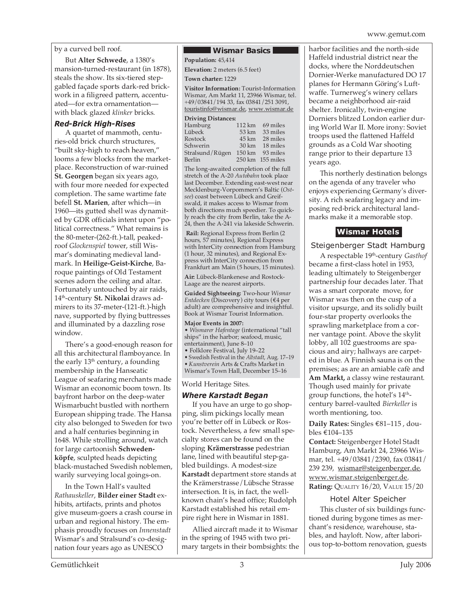by a curved bell roof.

But **Alter Schwede**, a 1380's mansion-turned-restaurant (in 1878), steals the show. Its six-tiered stepgabled façade sports dark-red brickwork in a filigreed pattern, accentuated—for extra ornamentation with black glazed *klinker* bricks.

### *Red-Brick High-Rises*

A quartet of mammoth, centuries-old brick church structures, "built sky-high to reach heaven," looms a few blocks from the marketplace. Reconstruction of war-ruined **St. Georgen** began six years ago, with four more needed for expected completion. The same wartime fate befell **St. Marien**, after which—in 1960—its gutted shell was dynamited by GDR officials intent upon "political correctness." What remains is the 80-meter-(262-ft.)-tall, peakedroof *Glockenspiel* tower, still Wismar's dominating medieval landmark. In **Heilige-Geist-Kirche**, Baroque paintings of Old Testament scenes adorn the ceiling and altar. Fortunately untouched by air raids, 14th-century **St. Nikolai** draws admirers to its 37-meter-(121-ft.)-high nave, supported by flying buttresses and illuminated by a dazzling rose window.

There's a good-enough reason for all this architectural flamboyance. In the early  $13<sup>th</sup>$  century, a founding membership in the Hanseatic League of seafaring merchants made Wismar an economic boom town. Its bayfront harbor on the deep-water Wismarbucht bustled with northern European shipping trade. The Hansa city also belonged to Sweden for two and a half centuries beginning in 1648. While strolling around, watch for large cartoonish **Schwedenköpfe**, sculpted heads depicting black-mustached Swedish noblemen, warily surveying local goings-on.

In the Town Hall's vaulted *Rathauskeller*, **Bilder einer Stadt** exhibits, artifacts, prints and photos give museum-goers a crash course in urban and regional history. The emphasis proudly focuses on *Innenstadt* Wismar's and Stralsund's co-designation four years ago as UNESCO

#### **Wismar Basics Population:** 45,414

**Elevation:** 2 meters (6.5 feet)

**Town charter:** 1229

**Visitor Information:** Tourist-Information Wismar, Am Markt 11, 23966 Wismar, tel. +49/03841/194 33, fax 03841/251 3091, touristinfo@wismar.de, www.wismar.de

#### **Driving Distances:**

| Hamburg         |                  | $112 \text{ km}$ 69 miles |
|-----------------|------------------|---------------------------|
| Lübeck          | 53 km            | 33 miles                  |
| Rostock         | $45 \mathrm{km}$ | 28 miles                  |
| Schwerin        | $30 \text{ km}$  | 18 miles                  |
| Stralsund/Rügen | 150 km           | 93 miles                  |
| Berlin          |                  | 250 km 155 miles          |
|                 |                  |                           |

The long-awaited completion of the full stretch of the A-20 *Autobahn* took place last December. Extending east-west near Mecklenburg-Vorpommern's Baltic (*Ostsee*) coast between Lübeck and Greifswald, it makes access to Wismar from both directions much speedier. To quickly reach the city from Berlin, take the A-24, then the A-241 via lakeside Schwerin.

 **Rail:** Regional Express from Berlin (2 hours, 57 minutes), Regional Express with InterCity connection from Hamburg (1 hour, 32 minutes), and Regional Express with InterCity connection from Frankfurt am Main (5 hours, 15 minutes).

**Air:** Lübeck-Blankenese and Rostock-Laage are the nearest airports.

**Guided Sightseeing:** Two-hour *Wismar Entdecken* (Discovery) city tours (€4 per adult) are comprehensive and insightful. Book at Wismar Tourist Information.

### **Major Events in 2007:**

• *Wismarer Hafentage* (international "tall ships" in the harbor; seafood, music, entertainment), June 8–10

• Folklore Festival, July 19–22

• Swedish Festival in the *Altstadt*, Aug. 17–19 • *Kunstverein* Arts & Crafts Market in Wismar's Town Hall, December 15–16

### World Heritage Sites.

## *Where Karstadt Began*

If you have an urge to go shopping, slim pickings locally mean you're better off in Lübeck or Rostock. Nevertheless, a few small specialty stores can be found on the sloping **Krämerstrasse** pedestrian lane, lined with beautiful step-gabled buildings. A modest-size **Karstadt** department store stands at the Krämerstrasse/Lübsche Strasse intersection. It is, in fact, the wellknown chain's head office; Rudolph Karstadt established his retail empire right here in Wismar in 1881.

Allied aircraft made it to Wismar in the spring of 1945 with two primary targets in their bombsights: the harbor facilities and the north-side Haffeld industrial district near the docks, where the Norddeutschen Dornier-Werke manufactured DO 17 planes for Hermann Göring's Luftwaffe. Turnerweg's winery cellars became a neighborhood air-raid shelter. Ironically, twin-engine Dorniers blitzed London earlier during World War II. More irony: Soviet troops used the flattened Haffeld grounds as a Cold War shooting range prior to their departure 13 years ago.

This northerly destination belongs on the agenda of any traveler who enjoys experiencing Germany's diversity. A rich seafaring legacy and imposing red-brick architectural landmarks make it a memorable stop.

## **Wismar Hotels**

## Steigenberger Stadt Hamburg

A respectable 19th-century *Gasthof* became a first-class hotel in 1953, leading ultimately to Steigenberger partnership four decades later. That was a smart corporate move, for Wismar was then on the cusp of a visitor upsurge, and its solidly built four-star property overlooks the sprawling marketplace from a corner vantage point. Above the skylit lobby, all 102 guestrooms are spacious and airy; hallways are carpeted in blue. A Finnish sauna is on the premises; as are an amiable cafè and **Am Markt,** a classy wine restaurant. Though used mainly for private group functions, the hotel's 14<sup>th</sup>century barrel-vaulted *Bierkeller* is worth mentioning, too.

**Daily Rates:** Singles €81–115 , doubles €104–135

**Contact:** Steigenberger Hotel Stadt Hamburg, Am Markt 24, 23966 Wismar, tel. +49/03841/2390, fax 03841/ 239 239, wismar@steigenberger.de, www.wismar.steigenberger.de. **Rating:** QUALITY 16/20, VALUE 15/20

## Hotel Alter Speicher

This cluster of six buildings functioned during bygone times as merchant's residence, warehouse, stables, and hayloft. Now, after laborious top-to-bottom renovation, guests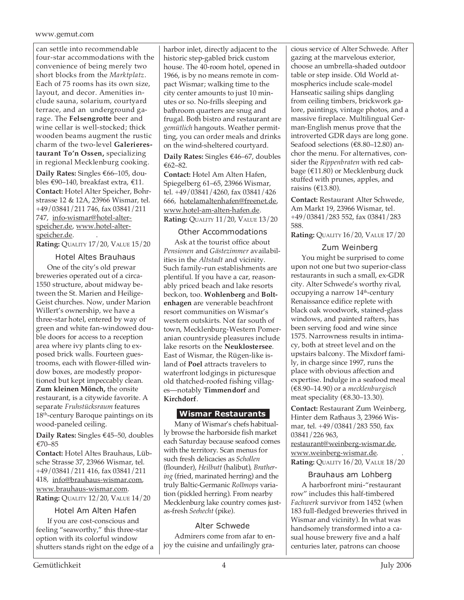#### www.gemut.com

can settle into recommendable four-star accommodations with the convenience of being merely two short blocks from the *Marktplatz*. Each of 75 rooms has its own size, layout, and decor. Amenities include sauna, solarium, courtyard terrace, and an underground garage. The **Felsengrotte** beer and wine cellar is well-stocked; thick wooden beams augment the rustic charm of the two-level **Galerierestaurant To'n Ossen,** specializing in regional Mecklenburg cooking.

**Daily Rates:** Singles €66–105, doubles €90–140, breakfast extra, €11. **Contact:** Hotel Alter Speicher, Bohrstrasse 12 & 12A, 23966 Wismar, tel. +49/03841/211 746, fax 03841/211 747, info-wismar@hotel-alterspeicher.de, www.hotel-alterspeicher.de. .

**Rating:** QUALITY 17/20, VALUE 15/20

Hotel Altes Brauhaus One of the city's old prewar breweries operated out of a circa-1550 structure, about midway between the St. Marien and Heilige-Geist churches. Now, under Marion Willert's ownership, we have a three-star hotel, entered by way of green and white fan-windowed double doors for access to a reception area where ivy plants cling to exposed brick walls. Fourteen guestrooms, each with flower-filled window boxes, are modestly proportioned but kept impeccably clean. **Zum kleinen Mönch,** the onsite restaurant, is a citywide favorite. A separate *Fruhstücksraum* features 18<sup>th</sup>-century Baroque paintings on its wood-paneled ceiling.

**Daily Rates:** Singles €45–50, doubles €70–85

**Contact:** Hotel Altes Brauhaus, Lübsche Strasse 37, 23966 Wismar, tel. +49/03841/211 416, fax 03841/211 418, info@brauhaus-wismar.com, www.brauhaus-wismar.com. **Rating:** QUALITY 12/20, VALUE 14/20

## Hotel Am Alten Hafen

If you are cost-conscious and feeling "seaworthy," this three-star option with its colorful window shutters stands right on the edge of a harbor inlet, directly adjacent to the historic step-gabled brick custom house. The 40-room hotel, opened in 1966, is by no means remote in compact Wismar; walking time to the city center amounts to just 10 minutes or so. No-frills sleeping and bathroom quarters are snug and frugal. Both bistro and restaurant are *gemütlich* hangouts. Weather permitting, you can order meals and drinks on the wind-sheltered courtyard.

**Daily Rates:** Singles €46–67, doubles €62–82.

**Contact:** Hotel Am Alten Hafen, Spiegelberg 61–65, 23966 Wismar, tel. +49/03841/4260, fax 03841/426 666, hotelamaltenhafen@freenet.de, www.hotel-am-alten-hafen.de. **Rating:** QUALITY 11/20, VALUE 13/20

## Other Accommodations

Ask at the tourist office about *Pensionen* and *Gästezimmer* availabilities in the *Altstadt* and vicinity. Such family-run establishments are plentiful. If you have a car, reasonably priced beach and lake resorts beckon, too. **Wohlenberg** and **Boltenhagen** are venerable beachfront resort communities on Wismar's western outskirts. Not far south of town, Mecklenburg-Western Pomeranian countryside pleasures include lake resorts on the **Neuklostersee**. East of Wismar, the Rügen-like island of **Poel** attracts travelers to waterfront lodgings in picturesque old thatched-roofed fishing villages—notably **Timmendorf** and **Kirchdorf**.

## **Wismar Restaurants**

Many of Wismar's chefs habitually browse the harborside fish market each Saturday because seafood comes with the territory. Scan menus for such fresh delicacies as *Schollen* (flounder), *Heilbutt* (halibut), *Brathering* (fried, marinated herring) and the truly Baltic-Germanic *Rollmops* variation (pickled herring). From nearby Mecklenburg lake country comes justas-fresh *Seehecht* (pike).

#### Alter Schwede Admirers come from afar to en-

joy the cuisine and unfailingly gra-

cious service of Alter Schwede. After gazing at the marvelous exterior, choose an umbrella-shaded outdoor table or step inside. Old World atmospherics include scale-model Hanseatic sailing ships dangling from ceiling timbers, brickwork galore, paintings, vintage photos, and a massive fireplace. Multilingual German-English menus prove that the introverted GDR days are long gone. Seafood selections (€8.80–12.80) anchor the menu. For alternatives, consider the *Rippenbraten* with red cabbage (€11.80) or Mecklenburg duck stuffed with prunes, apples, and raisins ( $€13.80$ ).

**Contact:** Restaurant Alter Schwede, Am Markt 19, 23966 Wismar, tel. +49/03841/283 552, fax 03841/283 588.

**Rating:** QUALITY 16/20, VALUE 17/20

## Zum Weinberg

You might be surprised to come upon not one but two superior-class restaurants in such a small, ex-GDR city. Alter Schwede's worthy rival, occupying a narrow 14<sup>th</sup>-century Renaissance edifice replete with black oak woodwork, stained-glass windows, and painted rafters, has been serving food and wine since 1575. Narrowness results in intimacy, both at street level and on the upstairs balcony. The Mixdorf family, in charge since 1997, runs the place with obvious affection and expertise. Indulge in a seafood meal (€8.90–14.90) or a *mecklenburgisch* meat speciality (€8.30–13.30).

**Contact:** Restaurant Zum Weinberg, Hinter dem Rathaus 3, 23966 Wismar, tel. +49/03841/283 550, fax 03841/226 963, restaurant@weinberg-wismar.de, www.weinberg-wismar.de. .

**Rating:** QUALITY 16/20, VALUE 18/20

## Brauhaus am Lohberg

A harborfront mini-"restaurant row" includes this half-timbered *Fachwerk* survivor from 1452 (when 183 full-fledged breweries thrived in Wismar and vicinity). In what was handsomely transformed into a casual house brewery five and a half centuries later, patrons can choose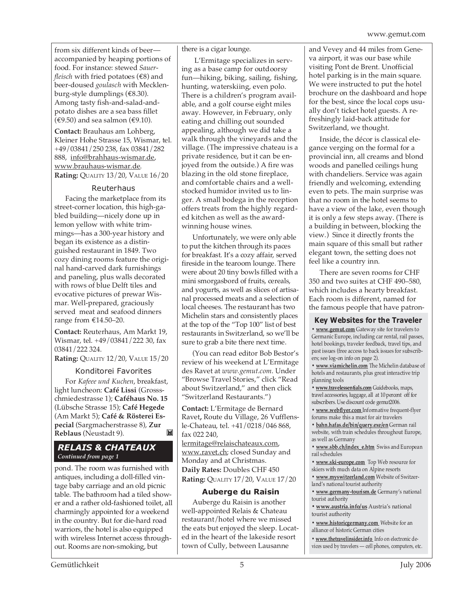from six different kinds of beer accompanied by heaping portions of food. For instance: stewed *Sauerfleisch* with fried potatoes (€8) and beer-doused *goulasch* with Mecklenburg-style dumplings (€8.30). Among tasty fish-and-salad-andpotato dishes are a sea bass fillet  $(€9.50)$  and sea salmon (€9.10).

**Contact:** Brauhaus am Lohberg, Kleiner Hohe Strasse 15, Wismar, tel. +49/03841/250 238, fax 03841/282 888, info@brahhaus-wismar.de, www.brauhaus-wismar.de. **Rating: QUALITY 13/20, VALUE 16/20** 

## Reuterhaus

Facing the marketplace from its street-corner location, this high-gabled building—nicely done up in lemon yellow with white trimmings—has a 300-year history and began its existence as a distinguished restaurant in 1849. Two cozy dining rooms feature the original hand-carved dark furnishings and paneling, plus walls decorated with rows of blue Delft tiles and evocative pictures of prewar Wismar. Well-prepared, graciously served meat and seafood dinners range from €14.50–20.

**Contact:** Reuterhaus, Am Markt 19, Wismar, tel. +49/03841/222 30, fax 03841/222 324.

**Rating:** QUALITY 12/20, VALUE 15/20

## Konditorei Favorites

For *Kafeee und Kuchen*, breakfast, light luncheon: **Café Lissi** (Grossschmiedestrasse 1); **Caféhaus No. 15** (Lübsche Strasse 15); **Café Hegede** (Am Markt 5); **Café & Rösterei Especial** (Sargmacherstrasse 8), **Zur** M **Reblaus** (Neustadt 9).

## *RELAIS & CHATEAUX Continued from page 1*

pond. The room was furnished with antiques, including a doll-filled vintage baby carriage and an old picnic table. The bathroom had a tiled shower and a rather old-fashioned toilet, all charmingly appointed for a weekend in the country. But for die-hard road warriors, the hotel is also equipped with wireless Internet access throughout. Rooms are non-smoking, but

there is a cigar lounge.

L'Ermitage specializes in serving as a base camp for outdoorsy fun—hiking, biking, sailing, fishing, hunting, waterskiing, even polo. There is a children's program available, and a golf course eight miles away. However, in February, only eating and chilling out sounded appealing, although we did take a walk through the vineyards and the village. (The impressive chateau is a private residence, but it can be enjoyed from the outside.) A fire was blazing in the old stone fireplace, and comfortable chairs and a wellstocked humidor invited us to linger. A small bodega in the reception offers treats from the highly regarded kitchen as well as the awardwinning house wines.

Unfortunately, we were only able to put the kitchen through its paces for breakfast. It's a cozy affair, served fireside in the tearoom lounge. There were about 20 tiny bowls filled with a mini smorgasbord of fruits, cereals, and yogurts, as well as slices of artisanal processed meats and a selection of local cheeses. The restaurant has two Michelin stars and consistently places at the top of the "Top 100" list of best restaurants in Switzerland, so we'll be sure to grab a bite there next time.

(You can read editor Bob Bestor's review of his weekend at L'Ermitage des Ravet at *www.gemut.com*. Under "Browse Travel Stories," click "Read about Switzerland," and then click "Switzerland Restaurants.")

**Contact:** L'Ermitage de Bernard Ravet**,** Route du Village, 26 Vufflensle-Chateau, tel. +41/0218/046 868, fax 022 240, lermitage@relaischateaux.com,

www.ravet.ch; closed Sunday and Monday and at Christmas. **Daily Rates:** Doubles CHF 450 **Rating:** QUALITY 17/20, VALUE 17/20

## **Auberge du Raisin**

Auberge du Raisin is another well-appointed Relais & Chateau restaurant/hotel where we missed the eats but enjoyed the sleep. Located in the heart of the lakeside resort town of Cully, between Lausanne

and Vevey and 44 miles from Geneva airport, it was our base while visiting Pont de Brent. Unofficial hotel parking is in the main square. We were instructed to put the hotel brochure on the dashboard and hope for the best, since the local cops usually don't ticket hotel guests. A refreshingly laid-back attitude for Switzerland, we thought.

Inside, the décor is classical elegance verging on the formal for a provincial inn, all creams and blond woods and panelled ceilings hung with chandeliers. Service was again friendly and welcoming, extending even to pets. The main surprise was that no room in the hotel seems to have a view of the lake, even though it is only a few steps away. (There is a building in between, blocking the view.) Since it directly fronts the main square of this small but rather elegant town, the setting does not feel like a country inn.

There are seven rooms for CHF 350 and two suites at CHF 490–580, which includes a hearty breakfast. Each room is different, named for the famous people that have patron-

## **Key Websites for the Traveler**

**• www.gemut.com** Gateway site for travelers to Germanic Europe, including car rental, rail passes, hotel bookings, traveler feedback, travel tips, and past issues (free access to back issues for subscribers; see log-on info on page 2).

**• www.viamichelin.com** The Michelin database of hotels and restaurants, plus great interactive trip planning tools

**• www.travelessentials.com** Guidebooks, maps, travel accessories, luggage, all at 10 percent off for subscribers. Use discount code gemut2006.

**• www.webflyer.com** Informative frequent-flyer forums make this a must for air travelers

**• bahn.hafas.de/bin/query.exe/en** German rail website, with train schedules throughout Europe, as well as Germany

**• www.sbb.ch/index\_e.htm** Swiss and European rail schedules

**• www.ski-europe.com** Top Web resource for skiers with much data on Alpine resorts

**• www.myswitzerland.com** Website of Switzerland's national tourist authority

**• www.germany-tourism.de** Germany's national tourist authority

**• www.austria.info/us** Austria's national tourist authority

**• www.historicgermany.com** Website for an alliance of historic German cities

**• www.thetravelinsider.info** Info on electronic devices used by travelers — cell phones, computers, etc.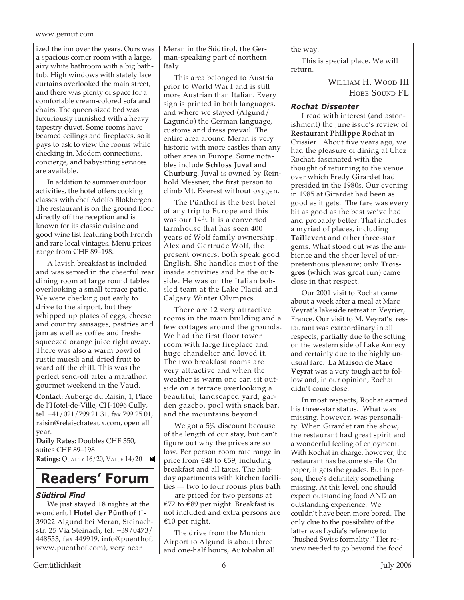#### www.gemut.com

ized the inn over the years. Ours was a spacious corner room with a large, airy white bathroom with a big bathtub. High windows with stately lace curtains overlooked the main street, and there was plenty of space for a comfortable cream-colored sofa and chairs. The queen-sized bed was luxuriously furnished with a heavy tapestry duvet. Some rooms have beamed ceilings and fireplaces, so it pays to ask to view the rooms while checking in. Modem connections, concierge, and babysitting services are available.

In addition to summer outdoor activities, the hotel offers cooking classes with chef Adolfo Blokbergen. The restaurant is on the ground floor directly off the reception and is known for its classic cuisine and good wine list featuring both French and rare local vintages. Menu prices range from CHF 89–198.

A lavish breakfast is included and was served in the cheerful rear dining room at large round tables overlooking a small terrace patio. We were checking out early to drive to the airport, but they whipped up plates of eggs, cheese and country sausages, pastries and jam as well as coffee and freshsqueezed orange juice right away. There was also a warm bowl of rustic muesli and dried fruit to ward off the chill. This was the perfect send-off after a marathon gourmet weekend in the Vaud.

**Contact:** Auberge du Raisin, 1, Place de l'Hotel-de-Ville, CH-1096 Cully, tel. +41/021/799 21 31, fax 799 25 01, raisin@relaischateaux.com, open all year.

**Daily Rates:** Doubles CHF 350, suites CHF 89–198 **Ratings:** QUALITY 16/20, VALUE 14/20

## **Readers' Forum**

## *Südtirol Find*

We just stayed 18 nights at the wonderful **Hotel der Pünthof** (I-39022 Algund bei Meran, Steinachstr. 25 Via Steinach, tel. +39/0473/ 448553, fax 449919, info@puenthof, www.puenthof.com), very near

Meran in the Südtirol, the German-speaking part of northern Italy.

This area belonged to Austria prior to World War I and is still more Austrian than Italian. Every sign is printed in both languages, and where we stayed (Algund/ Lagundo) the German language, customs and dress prevail. The entire area around Meran is very historic with more castles than any other area in Europe. Some notables include **Schloss Juval** and **Churburg**. Juval is owned by Reinhold Messner, the first person to climb Mt. Everest without oxygen.

The Pünthof is the best hotel of any trip to Europe and this was our 14th. It is a converted farmhouse that has seen 400 years of Wolf family ownership. Alex and Gertrude Wolf, the present owners, both speak good English. She handles most of the inside activities and he the outside. He was on the Italian bobsled team at the Lake Placid and Calgary Winter Olympics.

There are 12 very attractive rooms in the main building and a few cottages around the grounds. We had the first floor tower room with large fireplace and huge chandelier and loved it. The two breakfast rooms are very attractive and when the weather is warm one can sit outside on a terrace overlooking a beautiful, landscaped yard, garden gazebo, pool with snack bar, and the mountains beyond.

We got a 5% discount because of the length of our stay, but can't figure out why the prices are so low. Per person room rate range in price from €48 to €59, including breakfast and all taxes. The holiday apartments with kitchen facilities — two to four rooms plus bath — are priced for two persons at €72 to €89 per night. Breakfast is not included and extra persons are €10 per night.

The drive from the Munich Airport to Algund is about three and one-half hours, Autobahn all the way.

This is special place. We will return.

> WILLIAM H. WOOD III HOBE SOUND FL

## *Rochat Dissenter*

I read with interest (and astonishment) the June issue's review of **Restaurant Philippe Rochat** in Crissier. About five years ago, we had the pleasure of dining at Chez Rochat, fascinated with the thought of returning to the venue over which Fredy Girardet had presided in the 1980s. Our evening in 1985 at Girardet had been as good as it gets. The fare was every bit as good as the best we've had and probably better. That includes a myriad of places, including **Taillevent** and other three-star gems. What stood out was the ambience and the sheer level of unpretentious pleasure; only **Troisgros** (which was great fun) came close in that respect.

Our 2001 visit to Rochat came about a week after a meal at Marc Veyrat's lakeside retreat in Veyrier, France. Our visit to M. Veyrat's restaurant was extraordinary in all respects, partially due to the setting on the western side of Lake Annecy and certainly due to the highly unusual fare. **La Maison de Marc Veyrat** was a very tough act to follow and, in our opinion, Rochat didn't come close.

In most respects, Rochat earned his three-star status. What was missing, however, was personality. When Girardet ran the show, the restaurant had great spirit and a wonderful feeling of enjoyment. With Rochat in charge, however, the restaurant has become sterile. On paper, it gets the grades. But in person, there's definitely something missing. At this level, one should expect outstanding food AND an outstanding experience. We couldn't have been more bored. The only clue to the possibility of the latter was Lydia's reference to "hushed Swiss formality." Her review needed to go beyond the food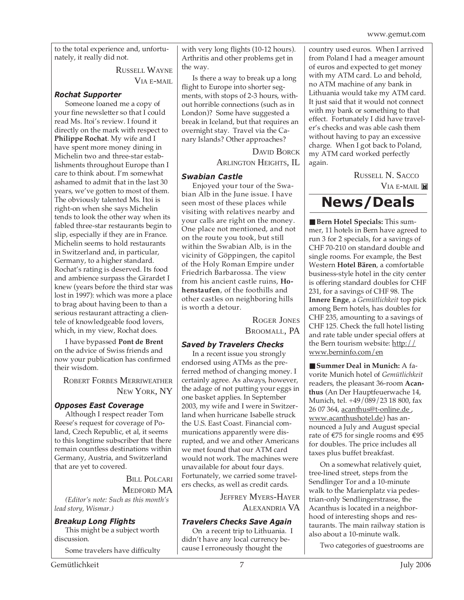to the total experience and, unfortunately, it really did not.

RUSSELL WAYNE

VIA E-MAIL

## *Rochat Supporter*

Someone loaned me a copy of your fine newsletter so that I could read Ms. Itoi's review. I found it directly on the mark with respect to **Philippe Rochat**. My wife and I have spent more money dining in Michelin two and three-star establishments throughout Europe than I care to think about. I'm somewhat ashamed to admit that in the last 30 years, we've gotten to most of them. The obviously talented Ms. Itoi is right-on when she says Michelin tends to look the other way when its fabled three-star restaurants begin to slip, especially if they are in France. Michelin seems to hold restaurants in Switzerland and, in particular, Germany, to a higher standard. Rochat's rating is deserved. Its food and ambience surpass the Girardet I knew (years before the third star was lost in 1997): which was more a place to brag about having been to than a serious restaurant attracting a clientele of knowledgeable food lovers, which, in my view, Rochat does.

I have bypassed **Pont de Brent** on the advice of Swiss friends and now your publication has confirmed their wisdom.

ROBERT FORBES MERRIWEATHER NEW YORK, NY

## *Opposes East Coverage*

Although I respect reader Tom Reese's request for coverage of Poland, Czech Republic, et al, it seems to this longtime subscriber that there remain countless destinations within Germany, Austria, and Switzerland that are yet to covered.

BILL POLCARI

MEDFORD MA *(Editor's note: Such as this month's lead story, Wismar.)*

*Breakup Long Flights*

This might be a subject worth discussion.

Some travelers have difficulty

with very long flights (10-12 hours). Arthritis and other problems get in the way.

Is there a way to break up a long flight to Europe into shorter segments, with stops of 2-3 hours, without horrible connections (such as in London)? Some have suggested a break in Iceland, but that requires an overnight stay. Travel via the Canary Islands? Other approaches?

> DAVID BORCK ARLINGTON HEIGHTS, IL

## *Swabian Castle*

Enjoyed your tour of the Swabian Alb in the June issue. I have seen most of these places while visiting with relatives nearby and your calls are right on the money. One place not mentioned, and not on the route you took, but still within the Swabian Alb, is in the vicinity of Göppingen, the capitol of the Holy Roman Empire under Friedrich Barbarossa. The view from his ancient castle ruins, **Hohenstaufen**, of the foothills and other castles on neighboring hills is worth a detour.

> ROGER JONES BROOMALL, PA

## *Saved by Travelers Checks*

In a recent issue you strongly endorsed using ATMs as the preferred method of changing money. I certainly agree. As always, however, the adage of not putting your eggs in one basket applies. In September 2003, my wife and I were in Switzerland when hurricane Isabelle struck the U.S. East Coast. Financial communications apparently were disrupted, and we and other Americans we met found that our ATM card would not work. The machines were unavailable for about four days. Fortunately, we carried some travelers checks, as well as credit cards.

> JEFFREY MYERS-HAYER ALEXANDRIA VA

## *Travelers Checks Save Again*

On a recent trip to Lithuania. I didn't have any local currency because I erroneously thought the

country used euros. When I arrived from Poland I had a meager amount of euros and expected to get money with my ATM card. Lo and behold, no ATM machine of any bank in Lithuania would take my ATM card. It just said that it would not connect with my bank or something to that effect. Fortunately I did have traveler's checks and was able cash them without having to pay an excessive charge. When I got back to Poland, my ATM card worked perfectly again.

> RUSSELL N. SACCO VIA E-MAIL

## **News/Deals**

■ **Bern Hotel Specials:** This summer, 11 hotels in Bern have agreed to run 3 for 2 specials, for a savings of CHF 70-210 on standard double and single rooms. For example, the Best Western **Hotel Bären**, a comfortable business-style hotel in the city center is offering standard doubles for CHF 231, for a savings of CHF 98. The **Innere Enge**, a *Gemütlichkeit* top pick among Bern hotels, has doubles for CHF 235, amounting to a savings of CHF 125. Check the full hotel listing and rate table under special offers at the Bern tourism website: http:// www.berninfo.com/en

■ **Summer Deal in Munich:** A favorite Munich hotel of *Gemütlichkeit* readers, the pleasant 36-room **Acanthus** (An Der Hauptfeuerwache 14, Munich, tel. +49/089/23 18 800, fax 26 07 364, acanthus@t-online.de , www.acanthushotel.de) has announced a July and August special rate of  $\epsilon$ 75 for single rooms and  $\epsilon$ 95 for doubles. The price includes all taxes plus buffet breakfast.

On a somewhat relatively quiet, tree-lined street, steps from the Sendlinger Tor and a 10-minute walk to the Marienplatz via pedestrian-only Sendlingerstrasse, the Acanthus is located in a neighborhood of interesting shops and restaurants. The main railway station is also about a 10-minute walk.

Two categories of guestrooms are